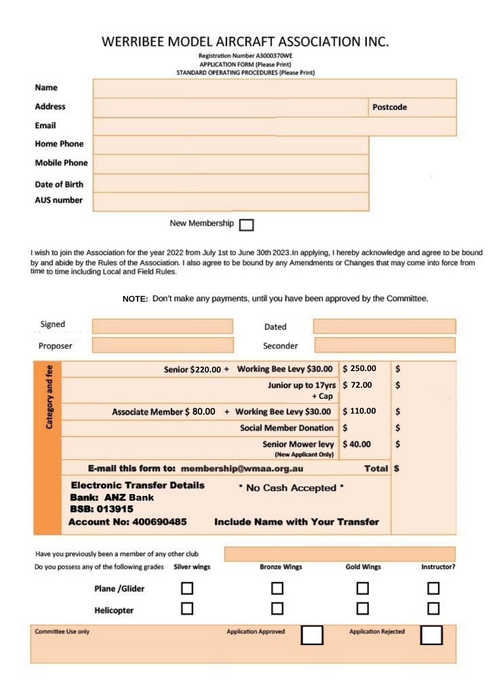## **WERRIBEE MODEL AIRCRAFT ASSOCIATION INC.**

| <b>Registration Number A3000370WE</b>        |
|----------------------------------------------|
| <b>APPLICATION FORM (Please Print)</b>       |
| STANDARD OPERATING PROCEDURES (Please Print) |

| <b>Address</b>       | Postcode |
|----------------------|----------|
| Email                |          |
| <b>Home Phone</b>    |          |
| <b>Mobile Phone</b>  |          |
| <b>Date of Birth</b> | 漆        |
| <b>AUS number</b>    |          |

I wish to join the Association for the year 2022 from July 1st to June 30th 2023.In applying, I hereby acknowledge and agree to be bound<br>by and abide by the Rules of the Association. I also agree to be bound by any Amendme time to time including Local and Field Rules.

**NOTE:** Don't make any payments, until you have been approved by the Committee.

| Signed<br>Proposer        |                                                                                                                                                                                                      | Dated<br>Seconder                                                                                                                                                                                                                                              |                                                                    |                            |
|---------------------------|------------------------------------------------------------------------------------------------------------------------------------------------------------------------------------------------------|----------------------------------------------------------------------------------------------------------------------------------------------------------------------------------------------------------------------------------------------------------------|--------------------------------------------------------------------|----------------------------|
| Category and fee          | <b>Associate Member \$ 80.00</b><br>E-mail this form to: membership@wmaa.org.au<br><b>Electronic Transfer Details</b><br><b>Bank: ANZ Bank</b><br><b>BSB: 013915</b><br><b>Account No: 400690485</b> | Senior \$220.00 + Working Bee Levy \$30.00<br>Junior up to 17yrs<br>+ Cap<br>+ Working Bee Levy \$30.00<br><b>Social Member Donation</b><br><b>Senior Mower levy</b><br>(New Applicant Only)<br>* No Cash Accepted *<br><b>Include Name with Your Transfer</b> | \$250.00<br>\$72.00<br>\$110.00<br>\$<br>\$40.00<br><b>Total S</b> | \$<br>\$<br>\$<br>\$<br>\$ |
|                           | Have you previously been a member of any other club<br>Do you possess any of the following grades<br><b>Silver wings</b><br><b>Plane /Glider</b><br><b>Helicopter</b>                                | <b>Bronze Wings</b>                                                                                                                                                                                                                                            | <b>Gold Wings</b>                                                  | Instructor?                |
| <b>Committee Use only</b> |                                                                                                                                                                                                      | <b>Application Approved</b>                                                                                                                                                                                                                                    | <b>Application Rejected</b>                                        |                            |